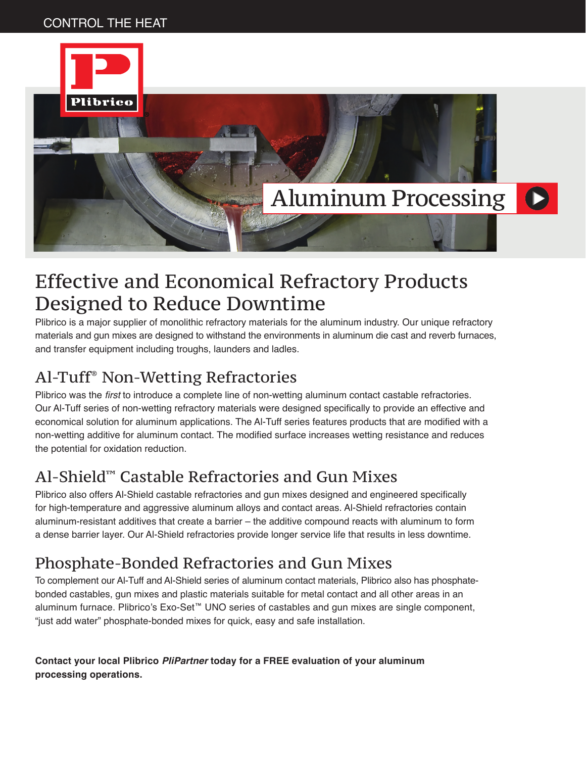#### CONTROL THE HEAT



## Effective and Economical Refractory Products Designed to Reduce Downtime

Plibrico is a major supplier of monolithic refractory materials for the aluminum industry. Our unique refractory materials and gun mixes are designed to withstand the environments in aluminum die cast and reverb furnaces, and transfer equipment including troughs, launders and ladles.

#### Al-Tuff® Non-Wetting Refractories

Plibrico was the first to introduce a complete line of non-wetting aluminum contact castable refractories. Our Al-Tuff series of non-wetting refractory materials were designed specifically to provide an effective and economical solution for aluminum applications. The Al-Tuff series features products that are modified with a non-wetting additive for aluminum contact. The modified surface increases wetting resistance and reduces the potential for oxidation reduction.

#### Al-Shield™ Castable Refractories and Gun Mixes

Plibrico also offers Al-Shield castable refractories and gun mixes designed and engineered specifically for high-temperature and aggressive aluminum alloys and contact areas. Al-Shield refractories contain aluminum-resistant additives that create a barrier – the additive compound reacts with aluminum to form a dense barrier layer. Our Al-Shield refractories provide longer service life that results in less downtime.

#### Phosphate-Bonded Refractories and Gun Mixes

To complement our Al-Tuff and Al-Shield series of aluminum contact materials, Plibrico also has phosphatebonded castables, gun mixes and plastic materials suitable for metal contact and all other areas in an aluminum furnace. Plibrico's Exo-Set™ UNO series of castables and gun mixes are single component, "just add water" phosphate-bonded mixes for quick, easy and safe installation.

**Contact your local Plibrico** *PliPartner* **today for a FREE evaluation of your aluminum processing operations.**